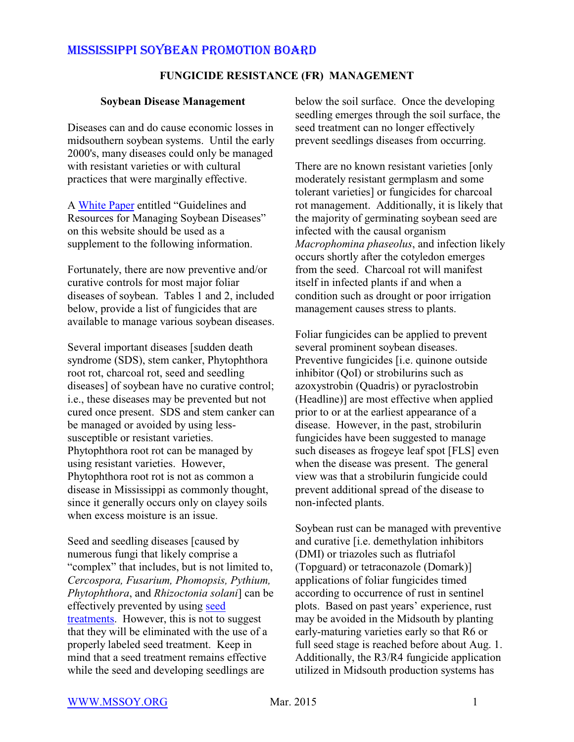#### **FUNGICIDE RESISTANCE (FR) MANAGEMENT**

#### **Soybean Disease Management**

Diseases can and do cause economic losses in midsouthern soybean systems. Until the early 2000's, many diseases could only be managed with resistant varieties or with cultural practices that were marginally effective.

A [White Paper](http://mssoy.org/wp-content/uploads/2012/04/DISEASE-ARTICLE-NOV.-2013.pdf) entitled "Guidelines and Resources for Managing Soybean Diseases" on this website should be used as a supplement to the following information.

Fortunately, there are now preventive and/or curative controls for most major foliar diseases of soybean. Tables 1 and 2, included below, provide a list of fungicides that are available to manage various soybean diseases.

Several important diseases [sudden death syndrome (SDS), stem canker, Phytophthora root rot, charcoal rot, seed and seedling diseases] of soybean have no curative control; i.e., these diseases may be prevented but not cured once present. SDS and stem canker can be managed or avoided by using lesssusceptible or resistant varieties. Phytophthora root rot can be managed by using resistant varieties. However, Phytophthora root rot is not as common a disease in Mississippi as commonly thought, since it generally occurs only on clayey soils when excess moisture is an issue.

Seed and seedling diseases [caused by numerous fungi that likely comprise a "complex" that includes, but is not limited to, *Cercospora, Fusarium, Phomopsis, Pythium, Phytophthora*, and *Rhizoctonia solani*] can be effectively prevented by using [seed](http://mssoy.org/wp-content/uploads/2013/01/SEED-TREATMENTS-2013.pdf) [treatments](http://mssoy.org/wp-content/uploads/2013/01/SEED-TREATMENTS-2013.pdf). However, this is not to suggest that they will be eliminated with the use of a properly labeled seed treatment. Keep in mind that a seed treatment remains effective while the seed and developing seedlings are

below the soil surface. Once the developing seedling emerges through the soil surface, the seed treatment can no longer effectively prevent seedlings diseases from occurring.

There are no known resistant varieties [only moderately resistant germplasm and some tolerant varieties] or fungicides for charcoal rot management. Additionally, it is likely that the majority of germinating soybean seed are infected with the causal organism *Macrophomina phaseolus*, and infection likely occurs shortly after the cotyledon emerges from the seed. Charcoal rot will manifest itself in infected plants if and when a condition such as drought or poor irrigation management causes stress to plants.

Foliar fungicides can be applied to prevent several prominent soybean diseases. Preventive fungicides [i.e. quinone outside inhibitor (QoI) or strobilurins such as azoxystrobin (Quadris) or pyraclostrobin (Headline)] are most effective when applied prior to or at the earliest appearance of a disease. However, in the past, strobilurin fungicides have been suggested to manage such diseases as frogeye leaf spot [FLS] even when the disease was present. The general view was that a strobilurin fungicide could prevent additional spread of the disease to non-infected plants.

Soybean rust can be managed with preventive and curative [i.e. demethylation inhibitors (DMI) or triazoles such as flutriafol (Topguard) or tetraconazole (Domark)] applications of foliar fungicides timed according to occurrence of rust in sentinel plots. Based on past years' experience, rust may be avoided in the Midsouth by planting early-maturing varieties early so that R6 or full seed stage is reached before about Aug. 1. Additionally, the R3/R4 fungicide application utilized in Midsouth production systems has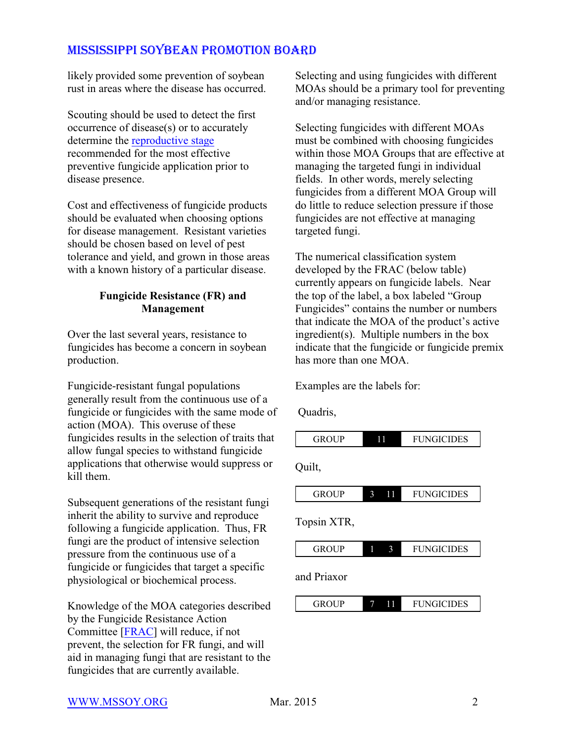likely provided some prevention of soybean rust in areas where the disease has occurred.

Scouting should be used to detect the first occurrence of disease(s) or to accurately determine the [reproductive stage](http://msucares.com/pubs/publications/p2588.pdf) recommended for the most effective preventive fungicide application prior to disease presence.

Cost and effectiveness of fungicide products should be evaluated when choosing options for disease management. Resistant varieties should be chosen based on level of pest tolerance and yield, and grown in those areas with a known history of a particular disease.

### **Fungicide Resistance (FR) and Management**

Over the last several years, resistance to fungicides has become a concern in soybean production.

Fungicide-resistant fungal populations generally result from the continuous use of a fungicide or fungicides with the same mode of action (MOA). This overuse of these fungicides results in the selection of traits that allow fungal species to withstand fungicide applications that otherwise would suppress or kill them.

Subsequent generations of the resistant fungi inherit the ability to survive and reproduce following a fungicide application. Thus, FR fungi are the product of intensive selection pressure from the continuous use of a fungicide or fungicides that target a specific physiological or biochemical process.

Knowledge of the MOA categories described by the Fungicide Resistance Action Committee [\[FRAC](http://www.frac.info/docs/default-source/publications/frac-code-list/frac-code-list-2015-finalC2AD7AA36764.pdf?sfvrsn=4)] will reduce, if not prevent, the selection for FR fungi, and will aid in managing fungi that are resistant to the fungicides that are currently available.

Selecting and using fungicides with different MOAs should be a primary tool for preventing and/or managing resistance.

Selecting fungicides with different MOAs must be combined with choosing fungicides within those MOA Groups that are effective at managing the targeted fungi in individual fields. In other words, merely selecting fungicides from a different MOA Group will do little to reduce selection pressure if those fungicides are not effective at managing targeted fungi.

The numerical classification system developed by the FRAC (below table) currently appears on fungicide labels. Near the top of the label, a box labeled "Group Fungicides" contains the number or numbers that indicate the MOA of the product's active ingredient(s). Multiple numbers in the box indicate that the fungicide or fungicide premix has more than one MOA.

Examples are the labels for:

Quadris,



#### [WWW.MSSOY.ORG](http://WWW.MSSOY.ORG) Mar. 2015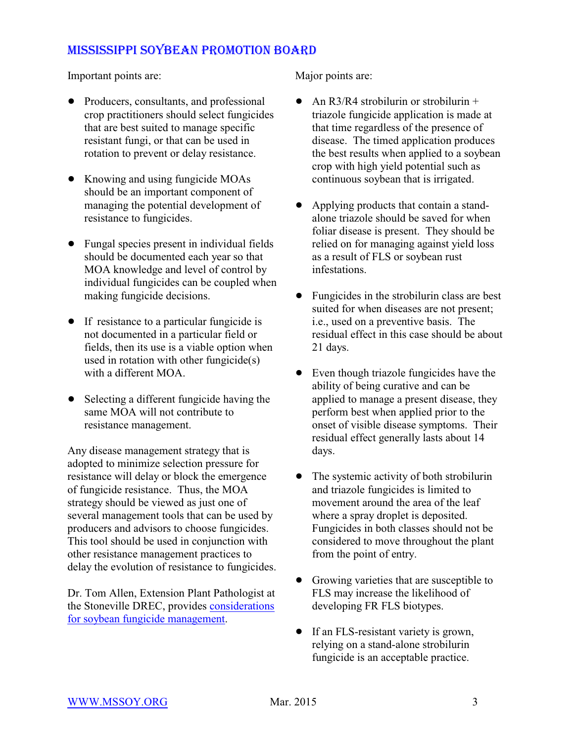Important points are:

- Producers, consultants, and professional crop practitioners should select fungicides that are best suited to manage specific resistant fungi, or that can be used in rotation to prevent or delay resistance.
- Knowing and using fungicide MOAs should be an important component of managing the potential development of resistance to fungicides.
- Fungal species present in individual fields should be documented each year so that MOA knowledge and level of control by individual fungicides can be coupled when making fungicide decisions.
- If resistance to a particular fungicide is not documented in a particular field or fields, then its use is a viable option when used in rotation with other fungicide(s) with a different MOA
- Selecting a different fungicide having the same MOA will not contribute to resistance management.

Any disease management strategy that is adopted to minimize selection pressure for resistance will delay or block the emergence of fungicide resistance. Thus, the MOA strategy should be viewed as just one of several management tools that can be used by producers and advisors to choose fungicides. This tool should be used in conjunction with other resistance management practices to delay the evolution of resistance to fungicides.

Dr. Tom Allen, Extension Plant Pathologist at the Stoneville DREC, provides [considerations](http://www.mississippi-crops.com/2013/06/01/soybean-fungicide-management-considerations-for-2013/) [for soybean fungicide management](http://www.mississippi-crops.com/2013/06/01/soybean-fungicide-management-considerations-for-2013/).

Major points are:

- An R3/R4 strobilurin or strobilurin  $+$ triazole fungicide application is made at that time regardless of the presence of disease. The timed application produces the best results when applied to a soybean crop with high yield potential such as continuous soybean that is irrigated.
- ! Applying products that contain a standalone triazole should be saved for when foliar disease is present. They should be relied on for managing against yield loss as a result of FLS or soybean rust infestations.
- Fungicides in the strobilurin class are best suited for when diseases are not present; i.e., used on a preventive basis. The residual effect in this case should be about 21 days.
- Even though triazole fungicides have the ability of being curative and can be applied to manage a present disease, they perform best when applied prior to the onset of visible disease symptoms. Their residual effect generally lasts about 14 days.
- The systemic activity of both strobilurin and triazole fungicides is limited to movement around the area of the leaf where a spray droplet is deposited. Fungicides in both classes should not be considered to move throughout the plant from the point of entry.
- Growing varieties that are susceptible to FLS may increase the likelihood of developing FR FLS biotypes.
- If an FLS-resistant variety is grown, relying on a stand-alone strobilurin fungicide is an acceptable practice.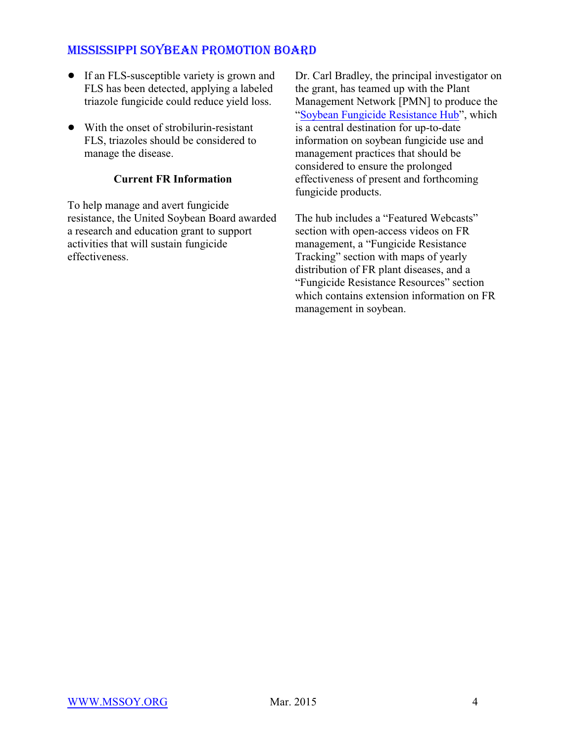- If an FLS-susceptible variety is grown and FLS has been detected, applying a labeled triazole fungicide could reduce yield loss.
- With the onset of strobilurin-resistant FLS, triazoles should be considered to manage the disease.

### **Current FR Information**

To help manage and avert fungicide resistance, the United Soybean Board awarded a research and education grant to support activities that will sustain fungicide effectiveness.

Dr. Carl Bradley, the principal investigator on the grant, has teamed up with the Plant Management Network [PMN] to produce the ["Soybean Fungicide Resistance Hub](http://www.plantmanagementnetwork.org/hub/SoyFungicideResistance/)", which is a central destination for up-to-date information on soybean fungicide use and management practices that should be considered to ensure the prolonged effectiveness of present and forthcoming fungicide products.

The hub includes a "Featured Webcasts" section with open-access videos on FR management, a "Fungicide Resistance Tracking" section with maps of yearly distribution of FR plant diseases, and a "Fungicide Resistance Resources" section which contains extension information on FR management in soybean.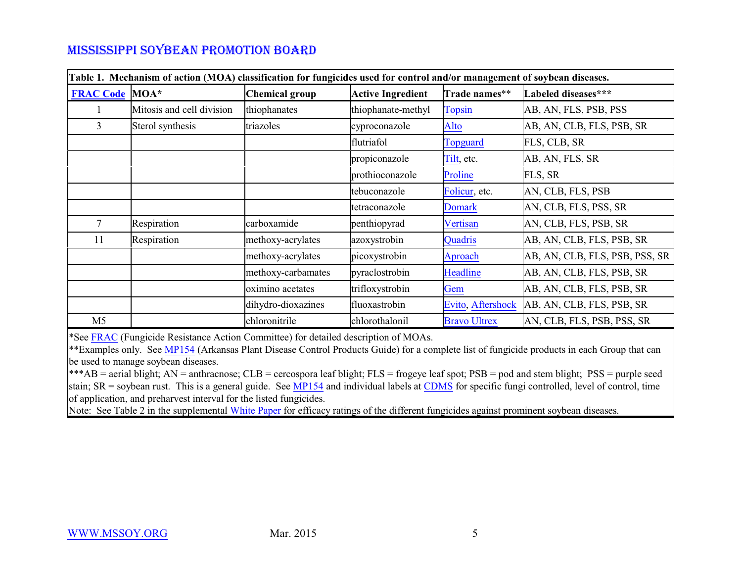| Table 1. Mechanism of action (MOA) classification for fungicides used for control and/or management of soybean diseases. |                           |                       |                          |                     |                                |  |  |
|--------------------------------------------------------------------------------------------------------------------------|---------------------------|-----------------------|--------------------------|---------------------|--------------------------------|--|--|
| <b>FRAC Code MOA*</b>                                                                                                    |                           | <b>Chemical group</b> | <b>Active Ingredient</b> | Trade names**       | Labeled diseases***            |  |  |
|                                                                                                                          | Mitosis and cell division | thiophanates          | thiophanate-methyl       | <b>Topsin</b>       | AB, AN, FLS, PSB, PSS          |  |  |
| 3                                                                                                                        | Sterol synthesis          | triazoles             | cyproconazole            | <u>Alto</u>         | AB, AN, CLB, FLS, PSB, SR      |  |  |
|                                                                                                                          |                           |                       | flutriafol               | <b>Topguard</b>     | FLS, CLB, SR                   |  |  |
|                                                                                                                          |                           |                       | propiconazole            | Tilt, etc.          | AB, AN, FLS, SR                |  |  |
|                                                                                                                          |                           |                       | prothioconazole          | Proline             | FLS, SR                        |  |  |
|                                                                                                                          |                           |                       | tebuconazole             | Folicur, etc.       | AN, CLB, FLS, PSB              |  |  |
|                                                                                                                          |                           |                       | tetraconazole            | <b>Domark</b>       | AN, CLB, FLS, PSS, SR          |  |  |
| $7\overline{ }$                                                                                                          | Respiration               | carboxamide           | penthiopyrad             | Vertisan            | AN, CLB, FLS, PSB, SR          |  |  |
| 11                                                                                                                       | Respiration               | methoxy-acrylates     | azoxystrobin             | Quadris             | AB, AN, CLB, FLS, PSB, SR      |  |  |
|                                                                                                                          |                           | methoxy-acrylates     | picoxystrobin            | Aproach             | AB, AN, CLB, FLS, PSB, PSS, SR |  |  |
|                                                                                                                          |                           | methoxy-carbamates    | pyraclostrobin           | Headline            | AB, AN, CLB, FLS, PSB, SR      |  |  |
|                                                                                                                          |                           | oximino acetates      | trifloxystrobin          | Gem                 | AB, AN, CLB, FLS, PSB, SR      |  |  |
|                                                                                                                          |                           | dihydro-dioxazines    | fluoxastrobin            | Evito, Aftershock   | AB, AN, CLB, FLS, PSB, SR      |  |  |
| M5                                                                                                                       |                           | chloronitrile         | chlorothalonil           | <b>Bravo Ultrex</b> | AN, CLB, FLS, PSB, PSS, SR     |  |  |

\*See [FRAC](http://www.frac.info/docs/default-source/publications/frac-code-list/frac-code-list-2015-finalC2AD7AA36764.pdf?sfvrsn=4) (Fungicide Resistance Action Committee) for detailed description of MOAs.

\*\*Examples only. See [MP154](http://www.uaex.edu/publications/pdf/MP154/soybean-foliar-diseases.pdf) (Arkansas Plant Disease Control Products Guide) for a complete list of fungicide products in each Group that can be used to manage soybean diseases.

\*\*\*AB = aerial blight; AN = anthracnose; CLB = cercospora leaf blight; FLS = frogeye leaf spot;  $PSB$  = pod and stem blight;  $PSS$  = purple seed stain;  $SR =$  soybean rust. This is a general guide. See [MP154](http://www.uaex.edu/publications/pdf/MP154/soybean-foliar-diseases.pdf) and individual labels at [CDMS](http://www.cdms.net/LabelsMsds/LMDefault.aspx?manuf=153&t=) for specific fungi controlled, level of control, time of application, and preharvest interval for the listed fungicides.

Note: See Table 2 in the supplemental [White Paper](http://mssoy.org/wp-content/uploads/2012/04/DISEASE-ARTICLE-NOV.-2013.pdf) for efficacy ratings of the different fungicides against prominent soybean diseases.